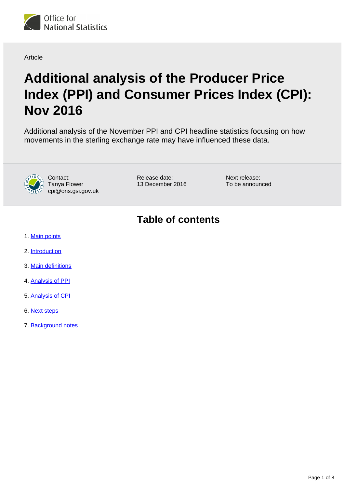

#### Article

# **Additional analysis of the Producer Price Index (PPI) and Consumer Prices Index (CPI): Nov 2016**

Additional analysis of the November PPI and CPI headline statistics focusing on how movements in the sterling exchange rate may have influenced these data.



Contact: Tanya Flower cpi@ons.gsi.gov.uk Release date: 13 December 2016 Next release: To be announced

## **Table of contents**

- 1. [Main points](#page-1-0)
- 2. [Introduction](#page-1-1)
- 3. [Main definitions](#page-1-2)
- 4. [Analysis of PPI](#page-2-0)
- 5. [Analysis of CPI](#page-4-0)
- 6. [Next steps](#page-6-0)
- 7. Background notes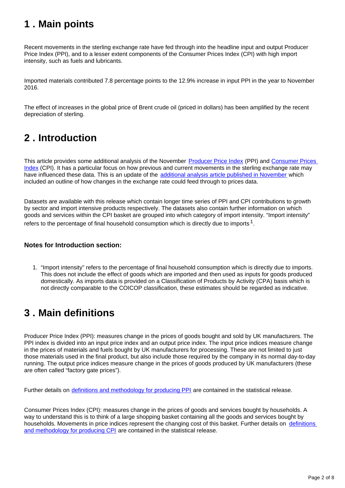### <span id="page-1-0"></span>**1 . Main points**

Recent movements in the sterling exchange rate have fed through into the headline input and output Producer Price Index (PPI), and to a lesser extent components of the Consumer Prices Index (CPI) with high import intensity, such as fuels and lubricants.

Imported materials contributed 7.8 percentage points to the 12.9% increase in input PPI in the year to November 2016.

The effect of increases in the global price of Brent crude oil (priced in dollars) has been amplified by the recent depreciation of sterling.

### <span id="page-1-1"></span>**2 . Introduction**

This article provides some additional analysis of the November [Producer Price Index](https://www.ons.gov.uk/economy/inflationandpriceindices/bulletins/producerpriceinflation/nov2016) (PPI) and Consumer Prices [Index](https://www.ons.gov.uk/economy/inflationandpriceindices/bulletins/consumerpriceinflation/nov2016) (CPI). It has a particular focus on how previous and current movements in the sterling exchange rate may have influenced these data. This is an update of the [additional analysis article published in November](https://www.ons.gov.uk/economy/inflationandpriceindices/articles/additionalanalysisoftheproducerpriceindexppiandconsumerpriceindexcpi/oct2016) which included an outline of how changes in the exchange rate could feed through to prices data.

Datasets are available with this release which contain longer time series of PPI and CPI contributions to growth by sector and import intensive products respectively. The datasets also contain further information on which goods and services within the CPI basket are grouped into which category of import intensity. "Import intensity" refers to the percentage of final household consumption which is directly due to imports  $^1$ .

#### **Notes for Introduction section:**

1. "Import intensity" refers to the percentage of final household consumption which is directly due to imports. This does not include the effect of goods which are imported and then used as inputs for goods produced domestically. As imports data is provided on a Classification of Products by Activity (CPA) basis which is not directly comparable to the COICOP classification, these estimates should be regarded as indicative.

### <span id="page-1-2"></span>**3 . Main definitions**

Producer Price Index (PPI): measures change in the prices of goods bought and sold by UK manufacturers. The PPI index is divided into an input price index and an output price index. The input price indices measure change in the prices of materials and fuels bought by UK manufacturers for processing. These are not limited to just those materials used in the final product, but also include those required by the company in its normal day-to-day running. The output price indices measure change in the prices of goods produced by UK manufacturers (these are often called "factory gate prices").

Further details on [definitions and methodology for producing PPI](https://www.ons.gov.uk/economy/inflationandpriceindices/bulletins/producerpriceinflation/nov2016) are contained in the statistical release.

Consumer Prices Index (CPI): measures change in the prices of goods and services bought by households. A way to understand this is to think of a large shopping basket containing all the goods and services bought by households. Movements in price indices represent the changing cost of this basket. Further details on [definitions](https://www.ons.gov.uk/economy/inflationandpriceindices/bulletins/consumerpriceinflation/nov2016)  [and methodology for producing CPI](https://www.ons.gov.uk/economy/inflationandpriceindices/bulletins/consumerpriceinflation/nov2016) are contained in the statistical release.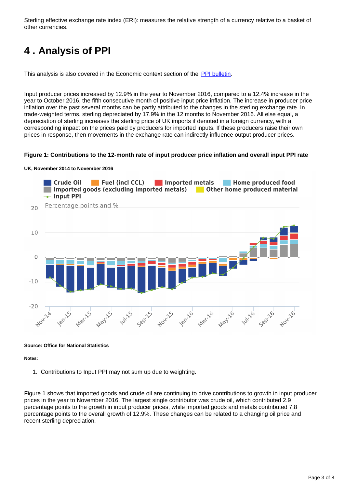Sterling effective exchange rate index (ERI): measures the relative strength of a currency relative to a basket of other currencies.

## <span id="page-2-0"></span>**4 . Analysis of PPI**

This analysis is also covered in the Economic context section of the [PPI bulletin.](https://www.ons.gov.uk/economy/inflationandpriceindices/bulletins/producerpriceinflation/nov2016)

Input producer prices increased by 12.9% in the year to November 2016, compared to a 12.4% increase in the year to October 2016, the fifth consecutive month of positive input price inflation. The increase in producer price inflation over the past several months can be partly attributed to the changes in the sterling exchange rate. In trade-weighted terms, sterling depreciated by 17.9% in the 12 months to November 2016. All else equal, a depreciation of sterling increases the sterling price of UK imports if denoted in a foreign currency, with a corresponding impact on the prices paid by producers for imported inputs. If these producers raise their own prices in response, then movements in the exchange rate can indirectly influence output producer prices.

#### **Figure 1: Contributions to the 12-month rate of input producer price inflation and overall input PPI rate**





#### **Source: Office for National Statistics**

#### **Notes:**

1. Contributions to Input PPI may not sum up due to weighting.

Figure 1 shows that imported goods and crude oil are continuing to drive contributions to growth in input producer prices in the year to November 2016. The largest single contributor was crude oil, which contributed 2.9 percentage points to the growth in input producer prices, while imported goods and metals contributed 7.8 percentage points to the overall growth of 12.9%. These changes can be related to a changing oil price and recent sterling depreciation.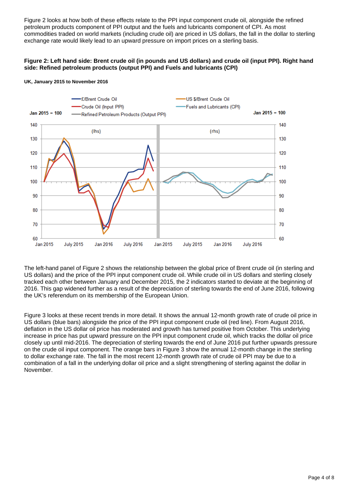Figure 2 looks at how both of these effects relate to the PPI input component crude oil, alongside the refined petroleum products component of PPI output and the fuels and lubricants component of CPI. As most commodities traded on world markets (including crude oil) are priced in US dollars, the fall in the dollar to sterling exchange rate would likely lead to an upward pressure on import prices on a sterling basis.

#### **Figure 2: Left hand side: Brent crude oil (in pounds and US dollars) and crude oil (input PPI). Right hand side: Refined petroleum products (output PPI) and Fuels and lubricants (CPI)**



#### **UK, January 2015 to November 2016**

The left-hand panel of Figure 2 shows the relationship between the global price of Brent crude oil (in sterling and US dollars) and the price of the PPI input component crude oil. While crude oil in US dollars and sterling closely tracked each other between January and December 2015, the 2 indicators started to deviate at the beginning of 2016. This gap widened further as a result of the depreciation of sterling towards the end of June 2016, following the UK's referendum on its membership of the European Union.

Figure 3 looks at these recent trends in more detail. It shows the annual 12-month growth rate of crude oil price in US dollars (blue bars) alongside the price of the PPI input component crude oil (red line). From August 2016, deflation in the US dollar oil price has moderated and growth has turned positive from October. This underlying increase in price has put upward pressure on the PPI input component crude oil, which tracks the dollar oil price closely up until mid-2016. The depreciation of sterling towards the end of June 2016 put further upwards pressure on the crude oil input component. The orange bars in Figure 3 show the annual 12-month change in the sterling to dollar exchange rate. The fall in the most recent 12-month growth rate of crude oil PPI may be due to a combination of a fall in the underlying dollar oil price and a slight strengthening of sterling against the dollar in November.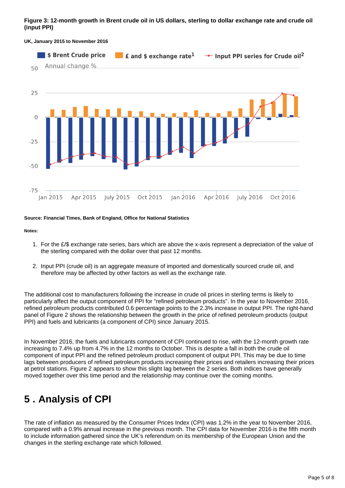#### **Figure 3: 12-month growth in Brent crude oil in US dollars, sterling to dollar exchange rate and crude oil (input PPI)**



#### **UK, January 2015 to November 2016**

#### **Source: Financial Times, Bank of England, Office for National Statistics**

#### **Notes:**

- 1. For the £/\$ exchange rate series, bars which are above the x-axis represent a depreciation of the value of the sterling compared with the dollar over that past 12 months.
- 2. Input PPI (crude oil) is an aggregate measure of imported and domestically sourced crude oil, and therefore may be affected by other factors as well as the exchange rate.

The additional cost to manufacturers following the increase in crude oil prices in sterling terms is likely to particularly affect the output component of PPI for "refined petroleum products". In the year to November 2016, refined petroleum products contributed 0.6 percentage points to the 2.3% increase in output PPI. The right-hand panel of Figure 2 shows the relationship between the growth in the price of refined petroleum products (output PPI) and fuels and lubricants (a component of CPI) since January 2015.

In November 2016, the fuels and lubricants component of CPI continued to rise, with the 12-month growth rate increasing to 7.4% up from 4.7% in the 12 months to October. This is despite a fall in both the crude oil component of input PPI and the refined petroleum product component of output PPI. This may be due to time lags between producers of refined petroleum products increasing their prices and retailers increasing their prices at petrol stations. Figure 2 appears to show this slight lag between the 2 series. Both indices have generally moved together over this time period and the relationship may continue over the coming months.

## <span id="page-4-0"></span>**5 . Analysis of CPI**

The rate of inflation as measured by the Consumer Prices Index (CPI) was 1.2% in the year to November 2016, compared with a 0.9% annual increase in the previous month. The CPI data for November 2016 is the fifth month to include information gathered since the UK's referendum on its membership of the European Union and the changes in the sterling exchange rate which followed.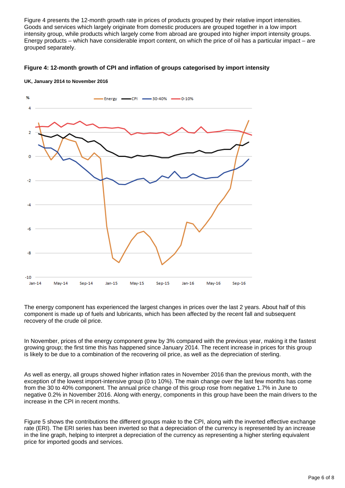Figure 4 presents the 12-month growth rate in prices of products grouped by their relative import intensities. Goods and services which largely originate from domestic producers are grouped together in a low import intensity group, while products which largely come from abroad are grouped into higher import intensity groups. Energy products – which have considerable import content, on which the price of oil has a particular impact – are grouped separately.





**UK, January 2014 to November 2016**

The energy component has experienced the largest changes in prices over the last 2 years. About half of this component is made up of fuels and lubricants, which has been affected by the recent fall and subsequent recovery of the crude oil price.

In November, prices of the energy component grew by 3% compared with the previous year, making it the fastest growing group; the first time this has happened since January 2014. The recent increase in prices for this group is likely to be due to a combination of the recovering oil price, as well as the depreciation of sterling.

As well as energy, all groups showed higher inflation rates in November 2016 than the previous month, with the exception of the lowest import-intensive group (0 to 10%). The main change over the last few months has come from the 30 to 40% component. The annual price change of this group rose from negative 1.7% in June to negative 0.2% in November 2016. Along with energy, components in this group have been the main drivers to the increase in the CPI in recent months.

Figure 5 shows the contributions the different groups make to the CPI, along with the inverted effective exchange rate (ERI). The ERI series has been inverted so that a depreciation of the currency is represented by an increase in the line graph, helping to interpret a depreciation of the currency as representing a higher sterling equivalent price for imported goods and services.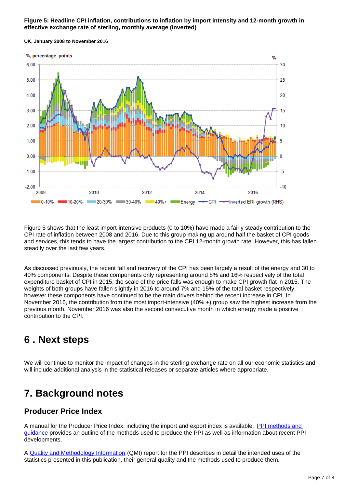#### **Figure 5: Headline CPI inflation, contributions to inflation by import intensity and 12-month growth in effective exchange rate of sterling, monthly average (inverted)**



**UK, January 2008 to November 2016**

Figure 5 shows that the least import-intensive products (0 to 10%) have made a fairly steady contribution to the CPI rate of inflation between 2008 and 2016. Due to this group making up around half the basket of CPI goods and services, this tends to have the largest contribution to the CPI 12-month growth rate. However, this has fallen steadily over the last few years.

As discussed previously, the recent fall and recovery of the CPI has been largely a result of the energy and 30 to 40% components. Despite these components only representing around 8% and 16% respectively of the total expenditure basket of CPI in 2015, the scale of the price falls was enough to make CPI growth flat in 2015. The weights of both groups have fallen slightly in 2016 to around 7% and 15% of the total basket respectively, however these components have continued to be the main drivers behind the recent increase in CPI. In November 2016, the contribution from the most import-intensive (40% +) group saw the highest increase from the previous month. November 2016 was also the second consecutive month in which energy made a positive contribution to the CPI.

### <span id="page-6-0"></span>**6 . Next steps**

We will continue to monitor the impact of changes in the sterling exchange rate on all our economic statistics and will include additional analysis in the statistical releases or separate articles where appropriate.

## **7. Background notes**

### **Producer Price Index**

A manual for the Producer Price Index, including the import and export index is available. [PPI methods and](https://www.ons.gov.uk/economy/inflationandpriceindices/qmis/producerpriceindicesqmi)  [guidance](https://www.ons.gov.uk/economy/inflationandpriceindices/qmis/producerpriceindicesqmi) provides an outline of the methods used to produce the PPI as well as information about recent PPI developments.

A [Quality and Methodology Information](http://www.ons.gov.uk/economy/inflationandpriceindices/qmis/producerpriceindicesqmi) (QMI) report for the PPI describes in detail the intended uses of the statistics presented in this publication, their general quality and the methods used to produce them.